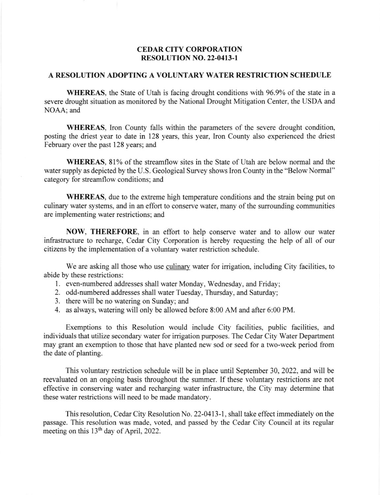## CEDAR CITY CORPORATION RESOLUTION NO. 22-0413-l

## A RESOLUTION ADOPTING A VOLUNTARY WATER RESTRICTION SCHEDULE

WHEREAS, the State of Utah is facing drought conditions with 96.9% of the state in a severe drought situation as monitored by the National Drought Mitigation Center, the USDA and NOAA; and

WHEREAS, Iron County falls within the parameters of the severe drought condition, posting the driest year to date in 128 years, this year, Iron County also experienced the driest February over the past 128 years; and

WHEREAS, 81% of the streamflow sites in the State of Utah are below normal and the water supply as depicted by the U.S. Geological Survey shows Iron County in the "Below Normal" category for streamflow conditions; and

WHEREAS, due to the extreme high temperature conditions and the strain being put on culinary water systems, and in an effort to conserve water, many of the surrounding communities are implementing water restrictions; and

NOW, THEREFORE, in an effort to help conserve water and to allow our water infrastructure to recharge, Cedar City Corporation is hereby requesting the help of all of our citizens by the implementation of a voluntary water restriction schedule.

We are asking all those who use culinary water for irrigation, including City facilities, to abide by these restrictions:

- 1. even-numbered addresses shall water Monday, Wednesday, and Friday;
- 2. odd-numbered addresses shall water Tuesday, Thursday, and Saturday;
- 3. there will be no watering on Sunday; and
- 4. as always, watering will only be allowed before 8:00 AM and after 6:00 PM.

Exemptions to this Resolution would include City facilities, public facilities, and individuals that utilize secondary water for irrigation purposes. The Cedar City Water Department may grant an exemption to those that have planted new sod or seed for a two-week period from the date of planting.

This voluntary restriction schedule will be in place until September 30,2022, and will be reevaluated on an ongoing basis throughout the summer. If these voluntary restrictions are not effective in conserving water and recharging water infrastructue, the City may determine that these water restrictions will need to be made mandatory.

This resolution, Cedar City Resolution No. 22-0413-1, shall take effect immediately on the passage. This resolution was made, voted, and passed by the Cedar City Council at its regular meeting on this  $13<sup>th</sup>$  day of April, 2022.